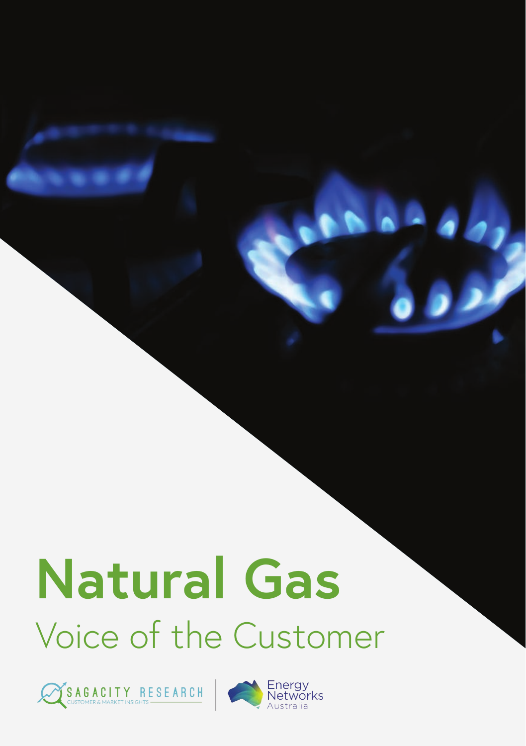# **Natural Gas** Voice of the Customer



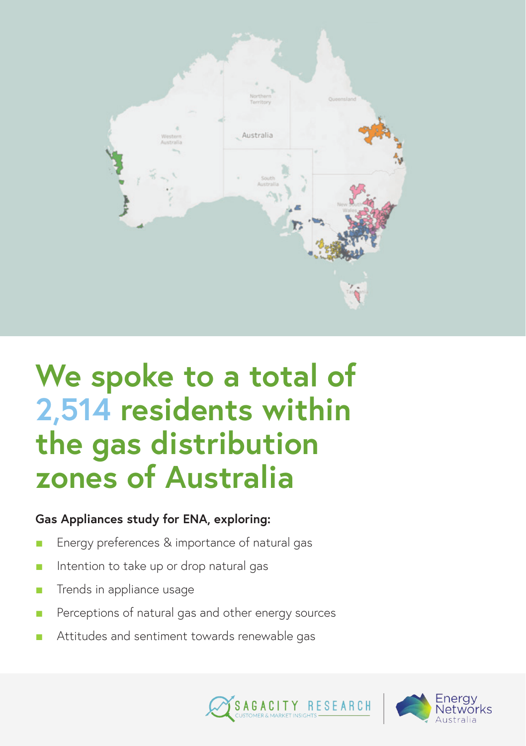

### **We spoke to a total of 2,514 residents within the gas distribution zones of Australia**

#### **Gas Appliances study for ENA, exploring:**

- Energy preferences & importance of natural gas
- Intention to take up or drop natural gas
- Trends in appliance usage
- Perceptions of natural gas and other energy sources
- Attitudes and sentiment towards renewable gas



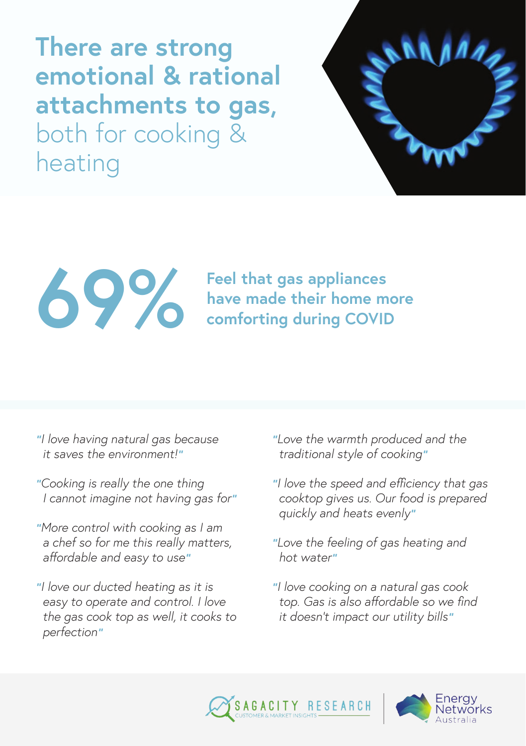**There are strong emotional & rational attachments to gas,** both for cooking & heating



# **feel that gas appliances**<br>have made their home m<br>comforting during COVID

**have made their home more comforting during COVID**

- *"I love having natural gas because it saves the environment!"*
- *"Cooking is really the one thing I cannot imagine not having gas for"*
- *"More control with cooking as I am a chef so for me this really matters, affordable and easy to use"*
- *"I love our ducted heating as it is easy to operate and control. I love the gas cook top as well, it cooks to perfection"*
- *"Love the warmth produced and the traditional style of cooking"*
- *"I love the speed and efficiency that gas cooktop gives us. Our food is prepared quickly and heats evenly"*
- *"Love the feeling of gas heating and hot water"*
- *"I love cooking on a natural gas cook top. Gas is also affordable so we find it doesn't impact our utility bills"*



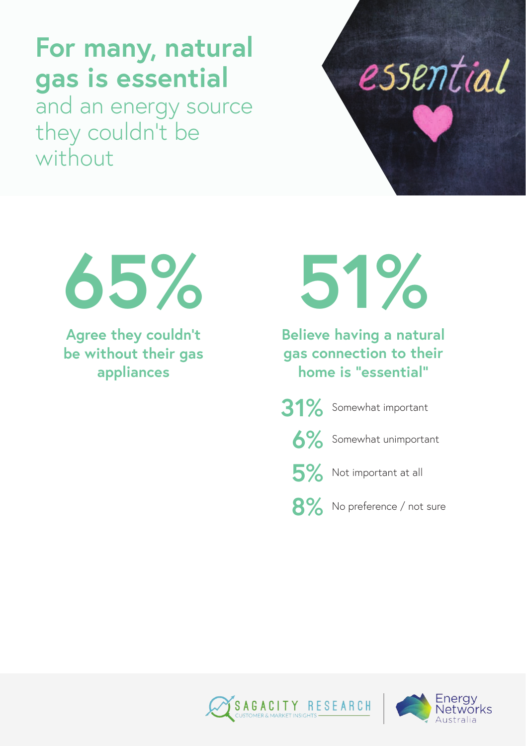#### **For many, natural gas is essential**

and an energy source they couldn't be without





**Agree they couldn't be without their gas appliances**

**51%**

**Believe having a natural gas connection to their home is "essential"**

**31%** Somewhat important

**6%** Somewhat unimportant

5% Not important at all

8% No preference / not sure



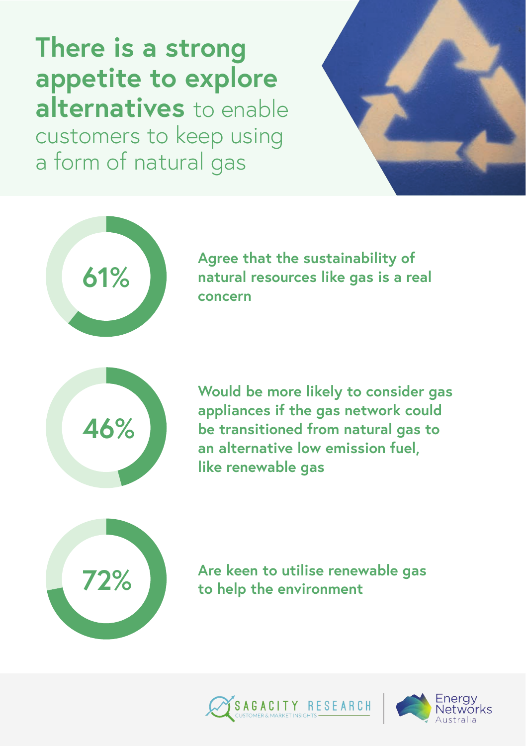**There is a strong appetite to explore alternatives** to enable customers to keep using a form of natural gas





**61% Agree that the sustainability of natural resources like gas is a real concern**



**Would be more likely to consider gas appliances if the gas network could be transitioned from natural gas to an alternative low emission fuel, like renewable gas**



**72% Are keen to utilise renewable gas to help the environment**



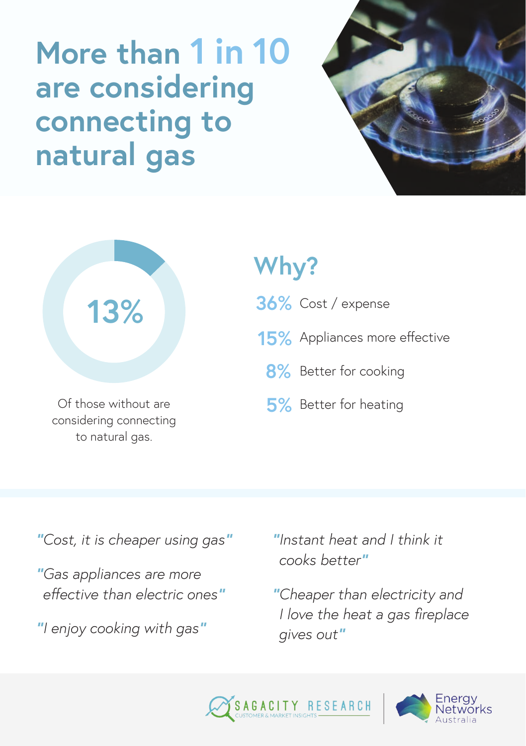## **More than 1 in 10 are considering connecting to natural gas**





Of those without are considering connecting to natural gas.

#### **Why?**

- **36%** Cost / expense
- **15%** Appliances more effective
	- **8%** Better for cooking
	- **5%** Better for heating

*"Cost, it is cheaper using gas"*

*"Gas appliances are more effective than electric ones"*

*"I enjoy cooking with gas"*

*"Instant heat and I think it cooks better"*

*"Cheaper than electricity and I love the heat a gas fireplace gives out"*



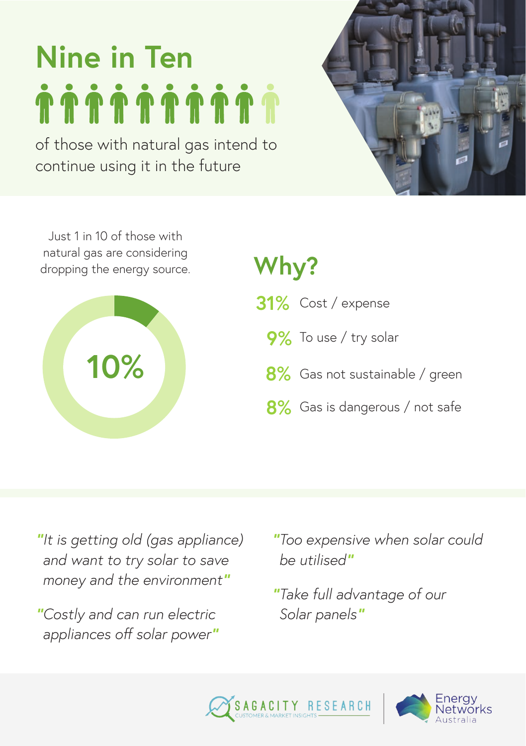## **Nine in Ten**

of those with natural gas intend to continue using it in the future



Just 1 in 10 of those with natural gas are considering dropping the energy source. **Why?**



- **31%** Cost / expense
	- **9%** To use / try solar
	- 8% Gas not sustainable / green
	- 8% Gas is dangerous / not safe

*"It is getting old (gas appliance) and want to try solar to save money and the environment"*

*"Costly and can run electric appliances off solar power"* *"Too expensive when solar could be utilised"*

*"Take full advantage of our Solar panels"*